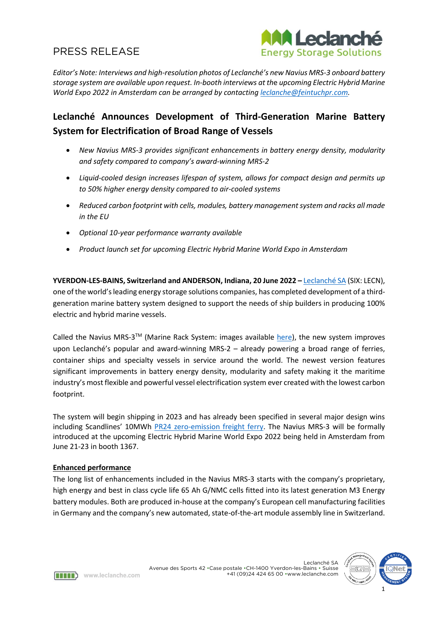

*Editor's Note: Interviews and high-resolution photos of Leclanché's new Navius MRS-3 onboard battery storage system are available upon request. In-booth interviews at th*e *upcoming Electric Hybrid Marine World Expo 2022 in Amsterdam can be arranged by contacting [leclanche@feintuchpr.com.](mailto:leclanche@feintuchpr.com)*

## **Leclanché Announces Development of Third-Generation Marine Battery System for Electrification of Broad Range of Vessels**

- *New Navius MRS-3 provides significant enhancements in battery energy density, modularity and safety compared to company's award-winning MRS-2*
- *Liquid-cooled design increases lifespan of system, allows for compact design and permits up to 50% higher energy density compared to air-cooled systems*
- *Reduced carbon footprint with cells, modules, battery managementsystem and racks all made in the EU*
- *Optional 10-year performance warranty available*
- *Product launch set for upcoming Electric Hybrid Marine World Expo in Amsterdam*

**YVERDON-LES-BAINS, Switzerland and ANDERSON, Indiana, 20 June 2022 –** [Leclanché SA](http://www.leclanche.com/) (SIX: LECN), one of the world's leading energy storage solutions companies, has completed development of a thirdgeneration marine battery system designed to support the needs of ship builders in producing 100% electric and hybrid marine vessels.

Called the Navius MRS-3<sup>™</sup> (Marine Rack System: images available  $here$ ), the new system improves</u> upon Leclanché's popular and award-winning MRS-2 – already powering a broad range of ferries, container ships and specialty vessels in service around the world. The newest version features significant improvements in battery energy density, modularity and safety making it the maritime industry's most flexible and powerful vessel electrification system ever created with the lowest carbon footprint.

The system will begin shipping in 2023 and has already been specified in several major design wins including Scandlines' 10MWh PR24 [zero-emission freight ferry.](https://www.leclanche.com/leclanche-selected-to-provide-10-mwh-advanced-battery-system-for-scandlines-pr24-zero-emission-freight-ferry/) The Navius MRS-3 will be formally introduced at the upcoming Electric Hybrid Marine World Expo 2022 being held in Amsterdam from June 21-23 in booth 1367.

## **Enhanced performance**

The long list of enhancements included in the Navius MRS-3 starts with the company's proprietary, high energy and best in class cycle life 65 Ah G/NMC cells fitted into its latest generation M3 Energy battery modules. Both are produced in-house at the company's European cell manufacturing facilities in Germany and the company's new automated, state-of-the-art module assembly line in Switzerland.



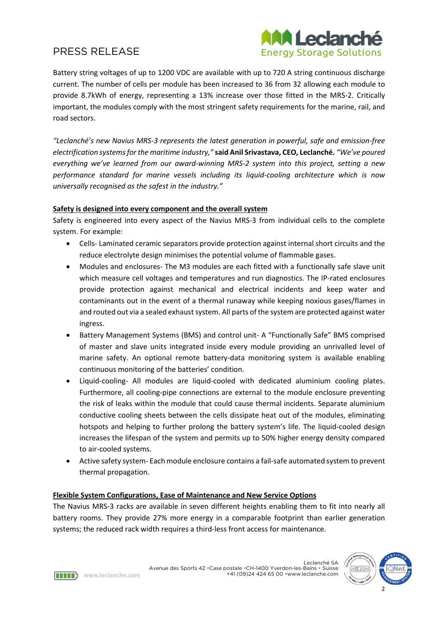

Battery string voltages of up to 1200 VDC are available with up to 720 A string continuous discharge current. The number of cells per module has been increased to 36 from 32 allowing each module to provide 8.7kWh of energy, representing a 13% increase over those fitted in the MRS-2. Critically important, the modules comply with the most stringent safety requirements for the marine, rail, and road sectors.

*"Leclanché's new Navius MRS-3 represents the latest generation in powerful, safe and emission-free electrification systemsfor the maritime industry,"* **said Anil Srivastava, CEO, Leclanché.** *"We've poured everything we've learned from our award-winning MRS-2 system into this project, setting a new performance standard for marine vessels including its liquid-cooling architecture which is now universally recognised as the safest in the industry."*

## **Safety is designed into every component and the overall system**

Safety is engineered into every aspect of the Navius MRS-3 from individual cells to the complete system. For example:

- Cells- Laminated ceramic separators provide protection against internal short circuits and the reduce electrolyte design minimises the potential volume of flammable gases.
- Modules and enclosures- The M3 modules are each fitted with a functionally safe slave unit which measure cell voltages and temperatures and run diagnostics. The IP-rated enclosures provide protection against mechanical and electrical incidents and keep water and contaminants out in the event of a thermal runaway while keeping noxious gases/flames in and routed out via a sealed exhaust system. All parts of the system are protected against water ingress.
- Battery Management Systems (BMS) and control unit- A "Functionally Safe" BMS comprised of master and slave units integrated inside every module providing an unrivalled level of marine safety. An optional remote battery-data monitoring system is available enabling continuous monitoring of the batteries' condition.
- Liquid-cooling- All modules are liquid-cooled with dedicated aluminium cooling plates. Furthermore, all cooling-pipe connections are external to the module enclosure preventing the risk of leaks within the module that could cause thermal incidents. Separate aluminium conductive cooling sheets between the cells dissipate heat out of the modules, eliminating hotspots and helping to further prolong the battery system's life. The liquid-cooled design increases the lifespan of the system and permits up to 50% higher energy density compared to air-cooled systems.
- Active safety system- Each module enclosure contains a fail-safe automated system to prevent thermal propagation.

## **Flexible System Configurations, Ease of Maintenance and New Service Options**

The Navius MRS-3 racks are available in seven different heights enabling them to fit into nearly all battery rooms. They provide 27% more energy in a comparable footprint than earlier generation systems; the reduced rack width requires a third-less front access for maintenance.



Www.leclanche.com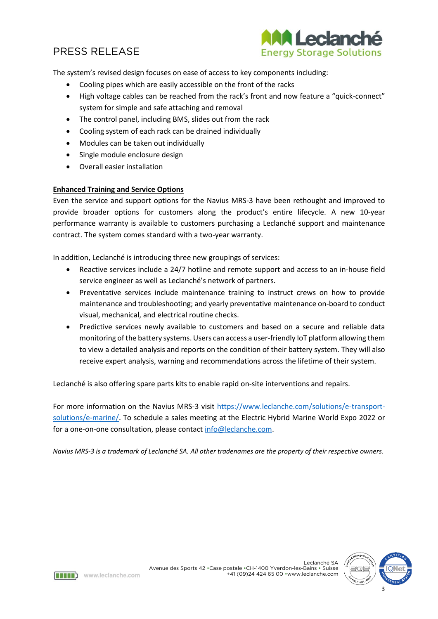![](_page_2_Picture_1.jpeg)

The system's revised design focuses on ease of access to key components including:

- Cooling pipes which are easily accessible on the front of the racks
- High voltage cables can be reached from the rack's front and now feature a "quick-connect" system for simple and safe attaching and removal
- The control panel, including BMS, slides out from the rack
- Cooling system of each rack can be drained individually
- Modules can be taken out individually
- Single module enclosure design
- Overall easier installation

## **Enhanced Training and Service Options**

Even the service and support options for the Navius MRS-3 have been rethought and improved to provide broader options for customers along the product's entire lifecycle. A new 10-year performance warranty is available to customers purchasing a Leclanché support and maintenance contract. The system comes standard with a two-year warranty.

In addition, Leclanché is introducing three new groupings of services:

- Reactive services include a 24/7 hotline and remote support and access to an in-house field service engineer as well as Leclanché's network of partners.
- Preventative services include maintenance training to instruct crews on how to provide maintenance and troubleshooting; and yearly preventative maintenance on-board to conduct visual, mechanical, and electrical routine checks.
- Predictive services newly available to customers and based on a secure and reliable data monitoring of the battery systems. Users can access a user-friendly IoT platform allowing them to view a detailed analysis and reports on the condition of their battery system. They will also receive expert analysis, warning and recommendations across the lifetime of their system.

Leclanché is also offering spare parts kits to enable rapid on-site interventions and repairs.

For more information on the Navius MRS-3 visit [https://www.leclanche.com/solutions/e-transport](https://www.leclanche.com/solutions/e-transport-solutions/e-marine/)[solutions/e-marine/.](https://www.leclanche.com/solutions/e-transport-solutions/e-marine/) To schedule a sales meeting at the Electric Hybrid Marine World Expo 2022 or for a one-on-one consultation, please contact [info@leclanche.com.](file://///lsanet.com/global/DATA/CHE/MARCOM/07.%20Media%20and%20PR/2022/2022.06.20_MRS%203/info@leclanche.com)

*Navius MRS-3 is a trademark of Leclanché SA. All other tradenames are the property of their respective owners.*

![](_page_2_Picture_19.jpeg)

Leclanché SA

Www.leclanche.com